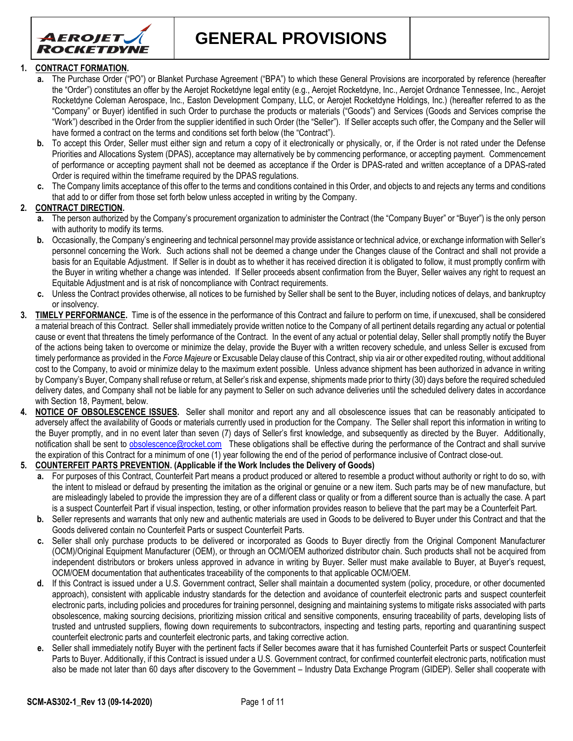

**GENERAL PROVISIONS**

### **1. CONTRACT FORMATION.**

- **a.** The Purchase Order ("PO") or Blanket Purchase Agreement ("BPA") to which these General Provisions are incorporated by reference (hereafter the "Order") constitutes an offer by the Aerojet Rocketdyne legal entity (e.g., Aerojet Rocketdyne, Inc., Aerojet Ordnance Tennessee, Inc., Aerojet Rocketdyne Coleman Aerospace, Inc., Easton Development Company, LLC, or Aerojet Rocketdyne Holdings, Inc.) (hereafter referred to as the "Company" or Buyer) identified in such Order to purchase the products or materials ("Goods") and Services (Goods and Services comprise the "Work") described in the Order from the supplier identified in such Order (the "Seller"). If Seller accepts such offer, the Company and the Seller will have formed a contract on the terms and conditions set forth below (the "Contract").
- **b.** To accept this Order, Seller must either sign and return a copy of it electronically or physically, or, if the Order is not rated under the Defense Priorities and Allocations System (DPAS), acceptance may alternatively be by commencing performance, or accepting payment. Commencement of performance or accepting payment shall not be deemed as acceptance if the Order is DPAS-rated and written acceptance of a DPAS-rated Order is required within the timeframe required by the DPAS regulations.
- **c.** The Company limits acceptance of this offer to the terms and conditions contained in this Order, and objects to and rejects any terms and conditions that add to or differ from those set forth below unless accepted in writing by the Company.

## **2. CONTRACT DIRECTION.**

- **a.** The person authorized by the Company's procurement organization to administer the Contract (the "Company Buyer" or "Buyer") is the only person with authority to modify its terms.
- **b.** Occasionally, the Company's engineering and technical personnel may provide assistance or technical advice, or exchange information with Seller's personnel concerning the Work. Such actions shall not be deemed a change under the Changes clause of the Contract and shall not provide a basis for an Equitable Adjustment. If Seller is in doubt as to whether it has received direction it is obligated to follow, it must promptly confirm with the Buyer in writing whether a change was intended. If Seller proceeds absent confirmation from the Buyer, Seller waives any right to request an Equitable Adjustment and is at risk of noncompliance with Contract requirements.
- **c.** Unless the Contract provides otherwise, all notices to be furnished by Seller shall be sent to the Buyer, including notices of delays, and bankruptcy or insolvency.
- **3. TIMELY PERFORMANCE.** Time is of the essence in the performance of this Contract and failure to perform on time, if unexcused, shall be considered a material breach of this Contract. Seller shall immediately provide written notice to the Company of all pertinent details regarding any actual or potential cause or event that threatens the timely performance of the Contract. In the event of any actual or potential delay, Seller shall promptly notify the Buyer of the actions being taken to overcome or minimize the delay, provide the Buyer with a written recovery schedule, and unless Seller is excused from timely performance as provided in the *Force Majeure* or Excusable Delay clause of this Contract, ship via air or other expedited routing, without additional cost to the Company, to avoid or minimize delay to the maximum extent possible. Unless advance shipment has been authorized in advance in writing by Company's Buyer, Company shall refuse or return, at Seller's risk and expense, shipments made prior to thirty (30) days before the required scheduled delivery dates, and Company shall not be liable for any payment to Seller on such advance deliveries until the scheduled delivery dates in accordance with Section 18, Payment, below.
- **4. NOTICE OF OBSOLESCENCE ISSUES.** Seller shall monitor and report any and all obsolescence issues that can be reasonably anticipated to adversely affect the availability of Goods or materials currently used in production for the Company. The Seller shall report this information in writing to the Buyer promptly, and in no event later than seven (7) days of Seller's first knowledge, and subsequently as directed by the Buyer. Additionally, notification shall be sent to [obsolescence@rocket.com](mailto:obsolescence@rocket.com) These obligations shall be effective during the performance of the Contract and shall survive the expiration of this Contract for a minimum of one (1) year following the end of the period of performance inclusive of Contract close-out.

### **5. COUNTERFEIT PARTS PREVENTION. (Applicable if the Work Includes the Delivery of Goods)**

- **a.** For purposes of this Contract, Counterfeit Part means a product produced or altered to resemble a product without authority or right to do so, with the intent to mislead or defraud by presenting the imitation as the original or genuine or a new item. Such parts may be of new manufacture, but are misleadingly labeled to provide the impression they are of a different class or quality or from a different source than is actually the case. A part is a suspect Counterfeit Part if visual inspection, testing, or other information provides reason to believe that the part may be a Counterfeit Part.
- **b.** Seller represents and warrants that only new and authentic materials are used in Goods to be delivered to Buyer under this Contract and that the Goods delivered contain no Counterfeit Parts or suspect Counterfeit Parts.
- **c.** Seller shall only purchase products to be delivered or incorporated as Goods to Buyer directly from the Original Component Manufacturer (OCM)/Original Equipment Manufacturer (OEM), or through an OCM/OEM authorized distributor chain. Such products shall not be acquired from independent distributors or brokers unless approved in advance in writing by Buyer. Seller must make available to Buyer, at Buyer's request, OCM/OEM documentation that authenticates traceability of the components to that applicable OCM/OEM.
- **d.** If this Contract is issued under a U.S. Government contract, Seller shall maintain a documented system (policy, procedure, or other documented approach), consistent with applicable industry standards for the detection and avoidance of counterfeit electronic parts and suspect counterfeit electronic parts, including policies and procedures for training personnel, designing and maintaining systems to mitigate risks associated with parts obsolescence, making sourcing decisions, prioritizing mission critical and sensitive components, ensuring traceability of parts, developing lists of trusted and untrusted suppliers, flowing down requirements to subcontractors, inspecting and testing parts, reporting and quarantining suspect counterfeit electronic parts and counterfeit electronic parts, and taking corrective action.
- **e.** Seller shall immediately notify Buyer with the pertinent facts if Seller becomes aware that it has furnished Counterfeit Parts or suspect Counterfeit Parts to Buyer. Additionally, if this Contract is issued under a U.S. Government contract, for confirmed counterfeit electronic parts, notification must also be made not later than 60 days after discovery to the Government – Industry Data Exchange Program (GIDEP). Seller shall cooperate with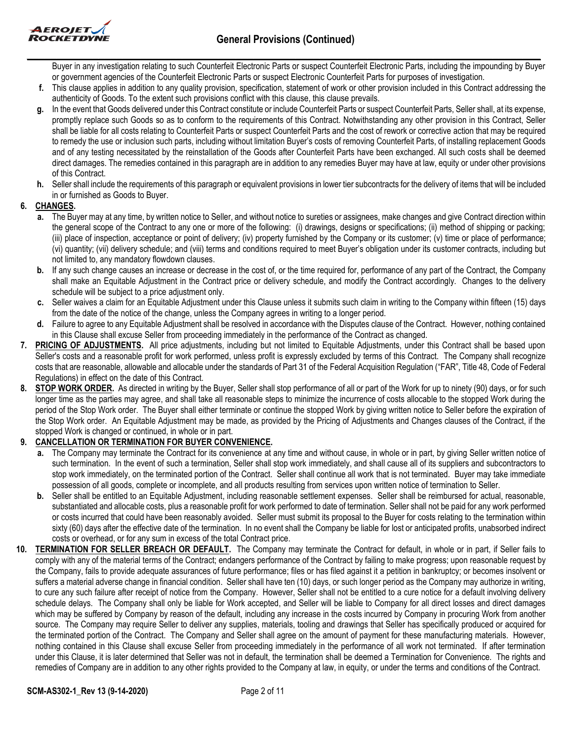

Buyer in any investigation relating to such Counterfeit Electronic Parts or suspect Counterfeit Electronic Parts, including the impounding by Buyer or government agencies of the Counterfeit Electronic Parts or suspect Electronic Counterfeit Parts for purposes of investigation.

- **f.** This clause applies in addition to any quality provision, specification, statement of work or other provision included in this Contract addressing the authenticity of Goods. To the extent such provisions conflict with this clause, this clause prevails.
- **g.** In the event that Goods delivered under this Contract constitute or include Counterfeit Parts or suspect Counterfeit Parts, Seller shall, at its expense, promptly replace such Goods so as to conform to the requirements of this Contract. Notwithstanding any other provision in this Contract, Seller shall be liable for all costs relating to Counterfeit Parts or suspect Counterfeit Parts and the cost of rework or corrective action that may be required to remedy the use or inclusion such parts, including without limitation Buyer's costs of removing Counterfeit Parts, of installing replacement Goods and of any testing necessitated by the reinstallation of the Goods after Counterfeit Parts have been exchanged. All such costs shall be deemed direct damages. The remedies contained in this paragraph are in addition to any remedies Buyer may have at law, equity or under other provisions of this Contract.
- **h.** Seller shall include the requirements of this paragraph or equivalent provisions in lower tier subcontracts for the delivery of items that will be included in or furnished as Goods to Buyer.

# **6. CHANGES.**

- **a.** The Buyer may at any time, by written notice to Seller, and without notice to sureties or assignees, make changes and give Contract direction within the general scope of the Contract to any one or more of the following: (i) drawings, designs or specifications; (ii) method of shipping or packing; (iii) place of inspection, acceptance or point of delivery; (iv) property furnished by the Company or its customer; (v) time or place of performance; (vi) quantity; (vii) delivery schedule; and (viii) terms and conditions required to meet Buyer's obligation under its customer contracts, including but not limited to, any mandatory flowdown clauses.
- **b.** If any such change causes an increase or decrease in the cost of, or the time required for, performance of any part of the Contract, the Company shall make an Equitable Adjustment in the Contract price or delivery schedule, and modify the Contract accordingly. Changes to the delivery schedule will be subject to a price adjustment only.
- **c.** Seller waives a claim for an Equitable Adjustment under this Clause unless it submits such claim in writing to the Company within fifteen (15) days from the date of the notice of the change, unless the Company agrees in writing to a longer period.
- **d.** Failure to agree to any Equitable Adjustment shall be resolved in accordance with the Disputes clause of the Contract. However, nothing contained in this Clause shall excuse Seller from proceeding immediately in the performance of the Contract as changed.
- **7. PRICING OF ADJUSTMENTS.** All price adjustments, including but not limited to Equitable Adjustments, under this Contract shall be based upon Seller's costs and a reasonable profit for work performed, unless profit is expressly excluded by terms of this Contract. The Company shall recognize costs that are reasonable, allowable and allocable under the standards of Part 31 of the Federal Acquisition Regulation ("FAR", Title 48, Code of Federal Regulations) in effect on the date of this Contract.
- **8. STOP WORK ORDER.** As directed in writing by the Buyer, Seller shall stop performance of all or part of the Work for up to ninety (90) days, or for such longer time as the parties may agree, and shall take all reasonable steps to minimize the incurrence of costs allocable to the stopped Work during the period of the Stop Work order. The Buyer shall either terminate or continue the stopped Work by giving written notice to Seller before the expiration of the Stop Work order. An Equitable Adjustment may be made, as provided by the Pricing of Adjustments and Changes clauses of the Contract, if the stopped Work is changed or continued, in whole or in part.

# **9. CANCELLATION OR TERMINATION FOR BUYER CONVENIENCE.**

- **a.** The Company may terminate the Contract for its convenience at any time and without cause, in whole or in part, by giving Seller written notice of such termination. In the event of such a termination, Seller shall stop work immediately, and shall cause all of its suppliers and subcontractors to stop work immediately, on the terminated portion of the Contract. Seller shall continue all work that is not terminated. Buyer may take immediate possession of all goods, complete or incomplete, and all products resulting from services upon written notice of termination to Seller.
- **b.** Seller shall be entitled to an Equitable Adjustment, including reasonable settlement expenses. Seller shall be reimbursed for actual, reasonable, substantiated and allocable costs, plus a reasonable profit for work performed to date of termination. Seller shall not be paid for any work performed or costs incurred that could have been reasonably avoided. Seller must submit its proposal to the Buyer for costs relating to the termination within sixty (60) days after the effective date of the termination. In no event shall the Company be liable for lost or anticipated profits, unabsorbed indirect costs or overhead, or for any sum in excess of the total Contract price.
- **10. TERMINATION FOR SELLER BREACH OR DEFAULT.** The Company may terminate the Contract for default, in whole or in part, if Seller fails to comply with any of the material terms of the Contract; endangers performance of the Contract by failing to make progress; upon reasonable request by the Company, fails to provide adequate assurances of future performance; files or has filed against it a petition in bankruptcy; or becomes insolvent or suffers a material adverse change in financial condition. Seller shall have ten (10) days, or such longer period as the Company may authorize in writing, to cure any such failure after receipt of notice from the Company. However, Seller shall not be entitled to a cure notice for a default involving delivery schedule delays. The Company shall only be liable for Work accepted, and Seller will be liable to Company for all direct losses and direct damages which may be suffered by Company by reason of the default, including any increase in the costs incurred by Company in procuring Work from another source. The Company may require Seller to deliver any supplies, materials, tooling and drawings that Seller has specifically produced or acquired for the terminated portion of the Contract. The Company and Seller shall agree on the amount of payment for these manufacturing materials. However, nothing contained in this Clause shall excuse Seller from proceeding immediately in the performance of all work not terminated. If after termination under this Clause, it is later determined that Seller was not in default, the termination shall be deemed a Termination for Convenience. The rights and remedies of Company are in addition to any other rights provided to the Company at law, in equity, or under the terms and conditions of the Contract.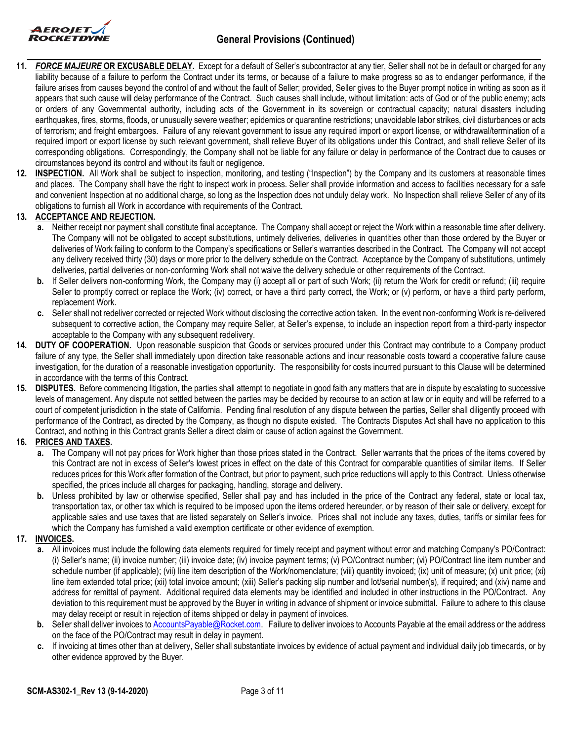

- **\_\_\_\_\_\_\_\_\_\_\_\_\_\_\_\_\_\_\_\_\_\_\_\_\_\_\_\_\_\_\_\_\_\_\_\_\_\_\_\_\_\_\_\_\_\_\_\_\_\_\_\_\_\_\_\_\_\_\_\_\_\_\_\_\_\_\_\_\_\_\_\_\_\_\_\_\_\_\_\_\_\_\_\_\_\_ 11.** *FORCE MAJEURE* **OR EXCUSABLE DELAY.** Except for a default of Seller's subcontractor at any tier, Seller shall not be in default or charged for any liability because of a failure to perform the Contract under its terms, or because of a failure to make progress so as to endanger performance, if the failure arises from causes beyond the control of and without the fault of Seller; provided, Seller gives to the Buyer prompt notice in writing as soon as it appears that such cause will delay performance of the Contract. Such causes shall include, without limitation: acts of God or of the public enemy; acts or orders of any Governmental authority, including acts of the Government in its sovereign or contractual capacity; natural disasters including earthquakes, fires, storms, floods, or unusually severe weather; epidemics or quarantine restrictions; unavoidable labor strikes, civil disturbances or acts of terrorism; and freight embargoes. Failure of any relevant government to issue any required import or export license, or withdrawal/termination of a required import or export license by such relevant government, shall relieve Buyer of its obligations under this Contract, and shall relieve Seller of its corresponding obligations. Correspondingly, the Company shall not be liable for any failure or delay in performance of the Contract due to causes or circumstances beyond its control and without its fault or negligence.
- **12. INSPECTION.** All Work shall be subject to inspection, monitoring, and testing ("Inspection") by the Company and its customers at reasonable times and places. The Company shall have the right to inspect work in process. Seller shall provide information and access to facilities necessary for a safe and convenient Inspection at no additional charge, so long as the Inspection does not unduly delay work. No Inspection shall relieve Seller of any of its obligations to furnish all Work in accordance with requirements of the Contract.

# **13. ACCEPTANCE AND REJECTION.**

- **a.** Neither receipt nor payment shall constitute final acceptance. The Company shall accept or reject the Work within a reasonable time after delivery. The Company will not be obligated to accept substitutions, untimely deliveries, deliveries in quantities other than those ordered by the Buyer or deliveries of Work failing to conform to the Company's specifications or Seller's warranties described in the Contract. The Company will not accept any delivery received thirty (30) days or more prior to the delivery schedule on the Contract. Acceptance by the Company of substitutions, untimely deliveries, partial deliveries or non-conforming Work shall not waive the delivery schedule or other requirements of the Contract.
- **b.** If Seller delivers non-conforming Work, the Company may (i) accept all or part of such Work; (ii) return the Work for credit or refund; (iii) require Seller to promptly correct or replace the Work; (iv) correct, or have a third party correct, the Work; or (v) perform, or have a third party perform, replacement Work.
- **c.** Seller shall not redeliver corrected or rejected Work without disclosing the corrective action taken. In the event non-conforming Work is re-delivered subsequent to corrective action, the Company may require Seller, at Seller's expense, to include an inspection report from a third-party inspector acceptable to the Company with any subsequent redelivery.
- **14. DUTY OF COOPERATION.** Upon reasonable suspicion that Goods or services procured under this Contract may contribute to a Company product failure of any type, the Seller shall immediately upon direction take reasonable actions and incur reasonable costs toward a cooperative failure cause investigation, for the duration of a reasonable investigation opportunity. The responsibility for costs incurred pursuant to this Clause will be determined in accordance with the terms of this Contract.
- **15. DISPUTES.** Before commencing litigation, the parties shall attempt to negotiate in good faith any matters that are in dispute by escalating to successive levels of management. Any dispute not settled between the parties may be decided by recourse to an action at law or in equity and will be referred to a court of competent jurisdiction in the state of California. Pending final resolution of any dispute between the parties, Seller shall diligently proceed with performance of the Contract, as directed by the Company, as though no dispute existed. The Contracts Disputes Act shall have no application to this Contract, and nothing in this Contract grants Seller a direct claim or cause of action against the Government.

### **16. PRICES AND TAXES.**

- **a.** The Company will not pay prices for Work higher than those prices stated in the Contract. Seller warrants that the prices of the items covered by this Contract are not in excess of Seller's lowest prices in effect on the date of this Contract for comparable quantities of similar items. If Seller reduces prices for this Work after formation of the Contract, but prior to payment, such price reductions will apply to this Contract. Unless otherwise specified, the prices include all charges for packaging, handling, storage and delivery.
- **b.** Unless prohibited by law or otherwise specified, Seller shall pay and has included in the price of the Contract any federal, state or local tax, transportation tax, or other tax which is required to be imposed upon the items ordered hereunder, or by reason of their sale or delivery, except for applicable sales and use taxes that are listed separately on Seller's invoice. Prices shall not include any taxes, duties, tariffs or similar fees for which the Company has furnished a valid exemption certificate or other evidence of exemption.

### **17. INVOICES.**

- **a.** All invoices must include the following data elements required for timely receipt and payment without error and matching Company's PO/Contract: (i) Seller's name; (ii) invoice number; (iii) invoice date; (iv) invoice payment terms; (v) PO/Contract number; (vi) PO/Contract line item number and schedule number (if applicable); (vii) line item description of the Work/nomenclature; (viii) quantity invoiced; (ix) unit of measure; (x) unit price; (xi) line item extended total price; (xii) total invoice amount; (xiii) Seller's packing slip number and lot/serial number(s), if required; and (xiv) name and address for remittal of payment. Additional required data elements may be identified and included in other instructions in the PO/Contract. Any deviation to this requirement must be approved by the Buyer in writing in advance of shipment or invoice submittal. Failure to adhere to this clause may delay receipt or result in rejection of items shipped or delay in payment of invoices.
- **b.** Seller shall deliver invoices to [AccountsPayable@Rocket.com.](mailto:) Failure to deliver invoices to Accounts Payable at the email address or the address on the face of the PO/Contract may result in delay in payment.
- **c.** If invoicing at times other than at delivery, Seller shall substantiate invoices by evidence of actual payment and individual daily job timecards, or by other evidence approved by the Buyer.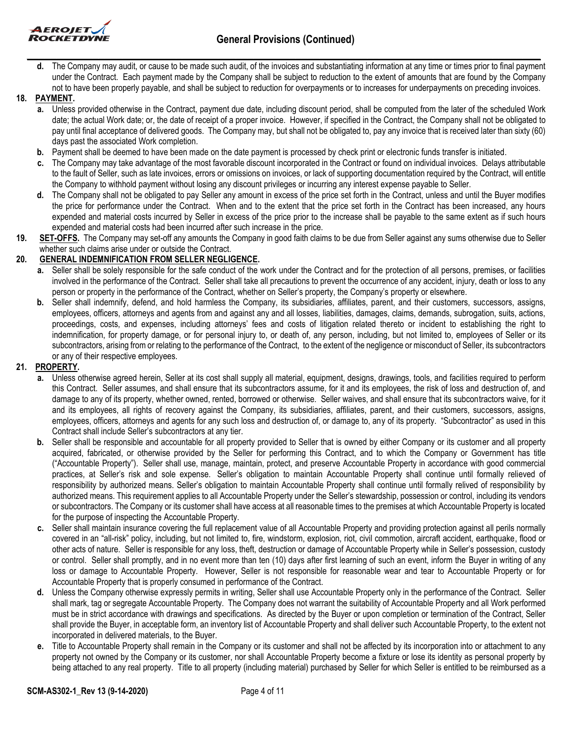



**d.** The Company may audit, or cause to be made such audit, of the invoices and substantiating information at any time or times prior to final payment under the Contract. Each payment made by the Company shall be subject to reduction to the extent of amounts that are found by the Company not to have been properly payable, and shall be subject to reduction for overpayments or to increases for underpayments on preceding invoices.

## **18. PAYMENT.**

- **a.** Unless provided otherwise in the Contract, payment due date, including discount period, shall be computed from the later of the scheduled Work date; the actual Work date; or, the date of receipt of a proper invoice. However, if specified in the Contract, the Company shall not be obligated to pay until final acceptance of delivered goods. The Company may, but shall not be obligated to, pay any invoice that is received later than sixty (60) days past the associated Work completion.
- **b.** Payment shall be deemed to have been made on the date payment is processed by check print or electronic funds transfer is initiated.
- **c.** The Company may take advantage of the most favorable discount incorporated in the Contract or found on individual invoices. Delays attributable to the fault of Seller, such as late invoices, errors or omissions on invoices, or lack of supporting documentation required by the Contract, will entitle the Company to withhold payment without losing any discount privileges or incurring any interest expense payable to Seller.
- **d.** The Company shall not be obligated to pay Seller any amount in excess of the price set forth in the Contract, unless and until the Buyer modifies the price for performance under the Contract. When and to the extent that the price set forth in the Contract has been increased, any hours expended and material costs incurred by Seller in excess of the price prior to the increase shall be payable to the same extent as if such hours expended and material costs had been incurred after such increase in the price.
- **19. SET-OFFS.** The Company may set-off any amounts the Company in good faith claims to be due from Seller against any sums otherwise due to Seller whether such claims arise under or outside the Contract.

## **20. GENERAL INDEMNIFICATION FROM SELLER NEGLIGENCE.**

- **a.** Seller shall be solely responsible for the safe conduct of the work under the Contract and for the protection of all persons, premises, or facilities involved in the performance of the Contract. Seller shall take all precautions to prevent the occurrence of any accident, injury, death or loss to any person or property in the performance of the Contract, whether on Seller's property, the Company's property or elsewhere.
- **b.** Seller shall indemnify, defend, and hold harmless the Company, its subsidiaries, affiliates, parent, and their customers, successors, assigns, employees, officers, attorneys and agents from and against any and all losses, liabilities, damages, claims, demands, subrogation, suits, actions, proceedings, costs, and expenses, including attorneys' fees and costs of litigation related thereto or incident to establishing the right to indemnification, for property damage, or for personal injury to, or death of, any person, including, but not limited to, employees of Seller or its subcontractors, arising from or relating to the performance of the Contract, to the extent of the negligence or misconduct of Seller, its subcontractors or any of their respective employees.

## **21. PROPERTY.**

- **a.** Unless otherwise agreed herein, Seller at its cost shall supply all material, equipment, designs, drawings, tools, and facilities required to perform this Contract. Seller assumes, and shall ensure that its subcontractors assume, for it and its employees, the risk of loss and destruction of, and damage to any of its property, whether owned, rented, borrowed or otherwise. Seller waives, and shall ensure that its subcontractors waive, for it and its employees, all rights of recovery against the Company, its subsidiaries, affiliates, parent, and their customers, successors, assigns, employees, officers, attorneys and agents for any such loss and destruction of, or damage to, any of its property. "Subcontractor" as used in this Contract shall include Seller's subcontractors at any tier.
- **b.** Seller shall be responsible and accountable for all property provided to Seller that is owned by either Company or its customer and all property acquired, fabricated, or otherwise provided by the Seller for performing this Contract, and to which the Company or Government has title ("Accountable Property"). Seller shall use, manage, maintain, protect, and preserve Accountable Property in accordance with good commercial practices, at Seller's risk and sole expense. Seller's obligation to maintain Accountable Property shall continue until formally relieved of responsibility by authorized means. Seller's obligation to maintain Accountable Property shall continue until formally relived of responsibility by authorized means. This requirement applies to all Accountable Property under the Seller's stewardship, possession or control, including its vendors or subcontractors. The Company or its customer shall have access at all reasonable times to the premises at which Accountable Property is located for the purpose of inspecting the Accountable Property.
- **c.** Seller shall maintain insurance covering the full replacement value of all Accountable Property and providing protection against all perils normally covered in an "all-risk" policy, including, but not limited to, fire, windstorm, explosion, riot, civil commotion, aircraft accident, earthquake, flood or other acts of nature. Seller is responsible for any loss, theft, destruction or damage of Accountable Property while in Seller's possession, custody or control. Seller shall promptly, and in no event more than ten (10) days after first learning of such an event, inform the Buyer in writing of any loss or damage to Accountable Property. However, Seller is not responsible for reasonable wear and tear to Accountable Property or for Accountable Property that is properly consumed in performance of the Contract.
- **d.** Unless the Company otherwise expressly permits in writing, Seller shall use Accountable Property only in the performance of the Contract. Seller shall mark, tag or segregate Accountable Property. The Company does not warrant the suitability of Accountable Property and all Work performed must be in strict accordance with drawings and specifications. As directed by the Buyer or upon completion or termination of the Contract, Seller shall provide the Buyer, in acceptable form, an inventory list of Accountable Property and shall deliver such Accountable Property, to the extent not incorporated in delivered materials, to the Buyer.
- **e.** Title to Accountable Property shall remain in the Company or its customer and shall not be affected by its incorporation into or attachment to any property not owned by the Company or its customer, nor shall Accountable Property become a fixture or lose its identity as personal property by being attached to any real property. Title to all property (including material) purchased by Seller for which Seller is entitled to be reimbursed as a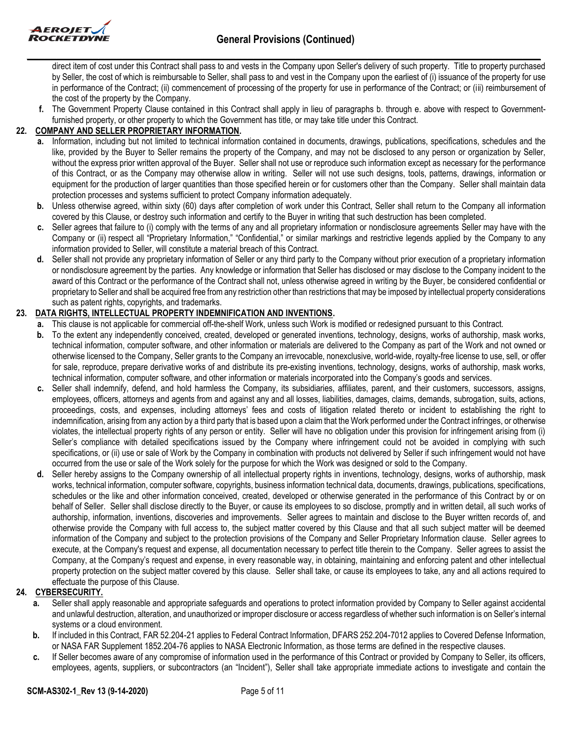

direct item of cost under this Contract shall pass to and vests in the Company upon Seller's delivery of such property. Title to property purchased by Seller, the cost of which is reimbursable to Seller, shall pass to and vest in the Company upon the earliest of (i) issuance of the property for use in performance of the Contract; (ii) commencement of processing of the property for use in performance of the Contract; or (iii) reimbursement of the cost of the property by the Company.

**f.** The Government Property Clause contained in this Contract shall apply in lieu of paragraphs b. through e. above with respect to Governmentfurnished property, or other property to which the Government has title, or may take title under this Contract.

# **22. COMPANY AND SELLER PROPRIETARY INFORMATION.**

- **a.** Information, including but not limited to technical information contained in documents, drawings, publications, specifications, schedules and the like, provided by the Buyer to Seller remains the property of the Company, and may not be disclosed to any person or organization by Seller, without the express prior written approval of the Buyer. Seller shall not use or reproduce such information except as necessary for the performance of this Contract, or as the Company may otherwise allow in writing. Seller will not use such designs, tools, patterns, drawings, information or equipment for the production of larger quantities than those specified herein or for customers other than the Company. Seller shall maintain data protection processes and systems sufficient to protect Company information adequately.
- **b.** Unless otherwise agreed, within sixty (60) days after completion of work under this Contract, Seller shall return to the Company all information covered by this Clause, or destroy such information and certify to the Buyer in writing that such destruction has been completed.
- **c.** Seller agrees that failure to (i) comply with the terms of any and all proprietary information or nondisclosure agreements Seller may have with the Company or (ii) respect all "Proprietary Information," "Confidential," or similar markings and restrictive legends applied by the Company to any information provided to Seller, will constitute a material breach of this Contract.
- **d.** Seller shall not provide any proprietary information of Seller or any third party to the Company without prior execution of a proprietary information or nondisclosure agreement by the parties. Any knowledge or information that Seller has disclosed or may disclose to the Company incident to the award of this Contract or the performance of the Contract shall not, unless otherwise agreed in writing by the Buyer, be considered confidential or proprietary to Seller and shall be acquired free from any restriction other than restrictions that may be imposed by intellectual property considerations such as patent rights, copyrights, and trademarks.

## **23. DATA RIGHTS, INTELLECTUAL PROPERTY INDEMNIFICATION AND INVENTIONS.**

- **a.** This clause is not applicable for commercial off-the-shelf Work, unless such Work is modified or redesigned pursuant to this Contract.
- **b.** To the extent any independently conceived, created, developed or generated inventions, technology, designs, works of authorship, mask works, technical information, computer software, and other information or materials are delivered to the Company as part of the Work and not owned or otherwise licensed to the Company, Seller grants to the Company an irrevocable, nonexclusive, world-wide, royalty-free license to use, sell, or offer for sale, reproduce, prepare derivative works of and distribute its pre-existing inventions, technology, designs, works of authorship, mask works, technical information, computer software, and other information or materials incorporated into the Company's goods and services.
- **c.** Seller shall indemnify, defend, and hold harmless the Company, its subsidiaries, affiliates, parent, and their customers, successors, assigns, employees, officers, attorneys and agents from and against any and all losses, liabilities, damages, claims, demands, subrogation, suits, actions, proceedings, costs, and expenses, including attorneys' fees and costs of litigation related thereto or incident to establishing the right to indemnification, arising from any action by a third party that is based upon a claim that the Work performed under the Contract infringes, or otherwise violates, the intellectual property rights of any person or entity. Seller will have no obligation under this provision for infringement arising from (i) Seller's compliance with detailed specifications issued by the Company where infringement could not be avoided in complying with such specifications, or (ii) use or sale of Work by the Company in combination with products not delivered by Seller if such infringement would not have occurred from the use or sale of the Work solely for the purpose for which the Work was designed or sold to the Company.
- **d.** Seller hereby assigns to the Company ownership of all intellectual property rights in inventions, technology, designs, works of authorship, mask works, technical information, computer software, copyrights, business information technical data, documents, drawings, publications, specifications, schedules or the like and other information conceived, created, developed or otherwise generated in the performance of this Contract by or on behalf of Seller. Seller shall disclose directly to the Buyer, or cause its employees to so disclose, promptly and in written detail, all such works of authorship, information, inventions, discoveries and improvements. Seller agrees to maintain and disclose to the Buyer written records of, and otherwise provide the Company with full access to, the subject matter covered by this Clause and that all such subject matter will be deemed information of the Company and subject to the protection provisions of the Company and Seller Proprietary Information clause. Seller agrees to execute, at the Company's request and expense, all documentation necessary to perfect title therein to the Company. Seller agrees to assist the Company, at the Company's request and expense, in every reasonable way, in obtaining, maintaining and enforcing patent and other intellectual property protection on the subject matter covered by this clause. Seller shall take, or cause its employees to take, any and all actions required to effectuate the purpose of this Clause.

### **24. CYBERSECURITY.**

- **a.** Seller shall apply reasonable and appropriate safeguards and operations to protect information provided by Company to Seller against accidental and unlawful destruction, alteration, and unauthorized or improper disclosure or access regardless of whether such information is on Seller's internal systems or a cloud environment.
- **b.** If included in this Contract, FAR 52.204-21 applies to Federal Contract Information, DFARS 252.204-7012 applies to Covered Defense Information, or NASA FAR Supplement 1852.204-76 applies to NASA Electronic Information, as those terms are defined in the respective clauses.
- **c.** If Seller becomes aware of any compromise of information used in the performance of this Contract or provided by Company to Seller, its officers, employees, agents, suppliers, or subcontractors (an "Incident"), Seller shall take appropriate immediate actions to investigate and contain the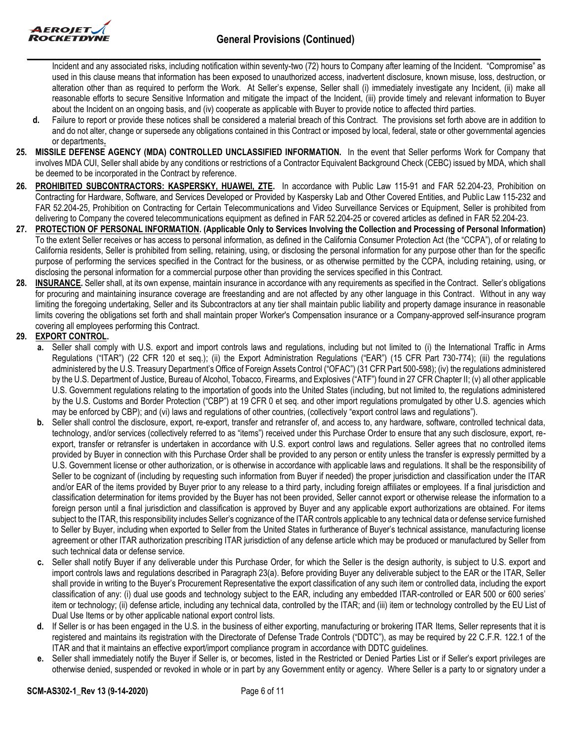

Incident and any associated risks, including notification within seventy-two (72) hours to Company after learning of the Incident. "Compromise" as used in this clause means that information has been exposed to unauthorized access, inadvertent disclosure, known misuse, loss, destruction, or alteration other than as required to perform the Work. At Seller's expense, Seller shall (i) immediately investigate any Incident, (ii) make all reasonable efforts to secure Sensitive Information and mitigate the impact of the Incident, (iii) provide timely and relevant information to Buyer about the Incident on an ongoing basis, and (iv) cooperate as applicable with Buyer to provide notice to affected third parties.

- **d.** Failure to report or provide these notices shall be considered a material breach of this Contract. The provisions set forth above are in addition to and do not alter, change or supersede any obligations contained in this Contract or imposed by local, federal, state or other governmental agencies or departments**.**
- **25. MISSILE DEFENSE AGENCY (MDA) CONTROLLED UNCLASSIFIED INFORMATION.** In the event that Seller performs Work for Company that involves MDA CUI, Seller shall abide by any conditions or restrictions of a Contractor Equivalent Background Check (CEBC) issued by MDA, which shall be deemed to be incorporated in the Contract by reference.
- **26. PROHIBITED SUBCONTRACTORS: KASPERSKY, HUAWEI, ZTE.** In accordance with Public Law 115-91 and FAR 52.204-23, Prohibition on Contracting for Hardware, Software, and Services Developed or Provided by Kaspersky Lab and Other Covered Entities, and Public Law 115-232 and FAR 52.204-25, Prohibition on Contracting for Certain Telecommunications and Video Surveillance Services or Equipment, Seller is prohibited from delivering to Company the covered telecommunications equipment as defined in FAR 52.204-25 or covered articles as defined in FAR 52.204-23.
- **27. PROTECTION OF PERSONAL INFORMATION. (Applicable Only to Services Involving the Collection and Processing of Personal Information)**  To the extent Seller receives or has access to personal information, as defined in the California Consumer Protection Act (the "CCPA"), of or relating to California residents, Seller is prohibited from selling, retaining, using, or disclosing the personal information for any purpose other than for the specific purpose of performing the services specified in the Contract for the business, or as otherwise permitted by the CCPA, including retaining, using, or disclosing the personal information for a commercial purpose other than providing the services specified in this Contract.
- **28. INSURANCE.** Seller shall, at its own expense, maintain insurance in accordance with any requirements as specified in the Contract. Seller's obligations for procuring and maintaining insurance coverage are freestanding and are not affected by any other language in this Contract. Without in any way limiting the foregoing undertaking, Seller and its Subcontractors at any tier shall maintain public liability and property damage insurance in reasonable limits covering the obligations set forth and shall maintain proper Worker's Compensation insurance or a Company-approved self-insurance program covering all employees performing this Contract.

## **29. EXPORT CONTROL.**

- **a.** Seller shall comply with U.S. export and import controls laws and regulations, including but not limited to (i) the International Traffic in Arms Regulations ("ITAR") (22 CFR 120 et seq.); (ii) the Export Administration Regulations ("EAR") (15 CFR Part 730-774); (iii) the regulations administered by the U.S. Treasury Department's Office of Foreign Assets Control ("OFAC") (31 CFR Part 500-598); (iv) the regulations administered by the U.S. Department of Justice, Bureau of Alcohol, Tobacco, Firearms, and Explosives ("ATF") found in 27 CFR Chapter II; (v) all other applicable U.S. Government regulations relating to the importation of goods into the United States (including, but not limited to, the regulations administered by the U.S. Customs and Border Protection ("CBP") at 19 CFR 0 et seq. and other import regulations promulgated by other U.S. agencies which may be enforced by CBP); and (vi) laws and regulations of other countries, (collectively "export control laws and regulations").
- **b.** Seller shall control the disclosure, export, re-export, transfer and retransfer of, and access to, any hardware, software, controlled technical data, technology, and/or services (collectively referred to as "items") received under this Purchase Order to ensure that any such disclosure, export, reexport, transfer or retransfer is undertaken in accordance with U.S. export control laws and regulations. Seller agrees that no controlled items provided by Buyer in connection with this Purchase Order shall be provided to any person or entity unless the transfer is expressly permitted by a U.S. Government license or other authorization, or is otherwise in accordance with applicable laws and regulations. It shall be the responsibility of Seller to be cognizant of (including by requesting such information from Buyer if needed) the proper jurisdiction and classification under the ITAR and/or EAR of the items provided by Buyer prior to any release to a third party, including foreign affiliates or employees. If a final jurisdiction and classification determination for items provided by the Buyer has not been provided, Seller cannot export or otherwise release the information to a foreign person until a final jurisdiction and classification is approved by Buyer and any applicable export authorizations are obtained. For items subject to the ITAR, this responsibility includes Seller's cognizance of the ITAR controls applicable to any technical data or defense service furnished to Seller by Buyer, including when exported to Seller from the United States in furtherance of Buyer's technical assistance, manufacturing license agreement or other ITAR authorization prescribing ITAR jurisdiction of any defense article which may be produced or manufactured by Seller from such technical data or defense service.
- **c.** Seller shall notify Buyer if any deliverable under this Purchase Order, for which the Seller is the design authority, is subject to U.S. export and import controls laws and regulations described in Paragraph 23(a). Before providing Buyer any deliverable subject to the EAR or the ITAR, Seller shall provide in writing to the Buyer's Procurement Representative the export classification of any such item or controlled data, including the export classification of any: (i) dual use goods and technology subject to the EAR, including any embedded ITAR-controlled or EAR 500 or 600 series' item or technology; (ii) defense article, including any technical data, controlled by the ITAR; and (iii) item or technology controlled by the EU List of Dual Use Items or by other applicable national export control lists.
- **d.** If Seller is or has been engaged in the U.S. in the business of either exporting, manufacturing or brokering ITAR Items, Seller represents that it is registered and maintains its registration with the Directorate of Defense Trade Controls ("DDTC"), as may be required by 22 C.F.R. 122.1 of the ITAR and that it maintains an effective export/import compliance program in accordance with DDTC guidelines.
- **e.** Seller shall immediately notify the Buyer if Seller is, or becomes, listed in the Restricted or Denied Parties List or if Seller's export privileges are otherwise denied, suspended or revoked in whole or in part by any Government entity or agency. Where Seller is a party to or signatory under a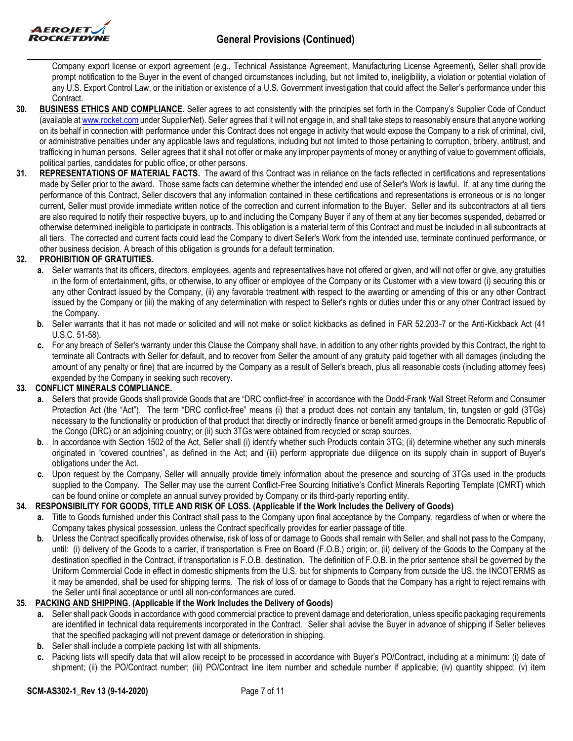

Company export license or export agreement (e.g., Technical Assistance Agreement, Manufacturing License Agreement), Seller shall provide prompt notification to the Buyer in the event of changed circumstances including, but not limited to, ineligibility, a violation or potential violation of any U.S. Export Control Law, or the initiation or existence of a U.S. Government investigation that could affect the Seller's performance under this Contract.

- **30. BUSINESS ETHICS AND COMPLIANCE.** Seller agrees to act consistently with the principles set forth in the Company's Supplier Code of Conduct (available at [www.rocket.com](http://www.rocket.com/) under SupplierNet). Seller agrees that it will not engage in, and shall take steps to reasonably ensure that anyone working on its behalf in connection with performance under this Contract does not engage in activity that would expose the Company to a risk of criminal, civil, or administrative penalties under any applicable laws and regulations, including but not limited to those pertaining to corruption, bribery, antitrust, and trafficking in human persons. Seller agrees that it shall not offer or make any improper payments of money or anything of value to government officials, political parties, candidates for public office, or other persons.
- **31. REPRESENTATIONS OF MATERIAL FACTS.** The award of this Contract was in reliance on the facts reflected in certifications and representations made by Seller prior to the award. Those same facts can determine whether the intended end use of Seller's Work is lawful. If, at any time during the performance of this Contract, Seller discovers that any information contained in these certifications and representations is erroneous or is no longer current, Seller must provide immediate written notice of the correction and current information to the Buyer. Seller and its subcontractors at all tiers are also required to notify their respective buyers, up to and including the Company Buyer if any of them at any tier becomes suspended, debarred or otherwise determined ineligible to participate in contracts. This obligation is a material term of this Contract and must be included in all subcontracts at all tiers. The corrected and current facts could lead the Company to divert Seller's Work from the intended use, terminate continued performance, or other business decision. A breach of this obligation is grounds for a default termination.

## **32. PROHIBITION OF GRATUITIES.**

- **a.** Seller warrants that its officers, directors, employees, agents and representatives have not offered or given, and will not offer or give, any gratuities in the form of entertainment, gifts, or otherwise, to any officer or employee of the Company or its Customer with a view toward (i) securing this or any other Contract issued by the Company, (ii) any favorable treatment with respect to the awarding or amending of this or any other Contract issued by the Company or (iii) the making of any determination with respect to Seller's rights or duties under this or any other Contract issued by the Company.
- **b.** Seller warrants that it has not made or solicited and will not make or solicit kickbacks as defined in FAR 52.203-7 or the Anti-Kickback Act (41 U.S.C. 51-58).
- **c.** For any breach of Seller's warranty under this Clause the Company shall have, in addition to any other rights provided by this Contract, the right to terminate all Contracts with Seller for default, and to recover from Seller the amount of any gratuity paid together with all damages (including the amount of any penalty or fine) that are incurred by the Company as a result of Seller's breach, plus all reasonable costs (including attorney fees) expended by the Company in seeking such recovery.

### **33. CONFLICT MINERALS COMPLIANCE.**

- **a.** Sellers that provide Goods shall provide Goods that are "DRC conflict-free" in accordance with the Dodd-Frank Wall Street Reform and Consumer Protection Act (the "Act"). The term "DRC conflict-free" means (i) that a product does not contain any tantalum, tin, tungsten or gold (3TGs) necessary to the functionality or production of that product that directly or indirectly finance or benefit armed groups in the Democratic Republic of the Congo (DRC) or an adjoining country; or (ii) such 3TGs were obtained from recycled or scrap sources.
- **b.** In accordance with Section 1502 of the Act, Seller shall (i) identify whether such Products contain 3TG; (ii) determine whether any such minerals originated in "covered countries", as defined in the Act; and (iii) perform appropriate due diligence on its supply chain in support of Buyer's obligations under the Act.
- **c.** Upon request by the Company, Seller will annually provide timely information about the presence and sourcing of 3TGs used in the products supplied to the Company. The Seller may use the current Conflict-Free Sourcing Initiative's Conflict Minerals Reporting Template (CMRT) which can be found online or complete an annual survey provided by Company or its third-party reporting entity.

### **34. RESPONSIBILITY FOR GOODS, TITLE AND RISK OF LOSS. (Applicable if the Work Includes the Delivery of Goods)**

- **a.** Title to Goods furnished under this Contract shall pass to the Company upon final acceptance by the Company, regardless of when or where the Company takes physical possession, unless the Contract specifically provides for earlier passage of title.
- **b.** Unless the Contract specifically provides otherwise, risk of loss of or damage to Goods shall remain with Seller, and shall not pass to the Company, until: (i) delivery of the Goods to a carrier, if transportation is Free on Board (F.O.B.) origin; or, (ii) delivery of the Goods to the Company at the destination specified in the Contract, if transportation is F.O.B. destination. The definition of F.O.B. in the prior sentence shall be governed by the Uniform Commercial Code in effect in domestic shipments from the U.S. but for shipments to Company from outside the US, the INCOTERMS as it may be amended, shall be used for shipping terms. The risk of loss of or damage to Goods that the Company has a right to reject remains with the Seller until final acceptance or until all non-conformances are cured.

## **35. PACKING AND SHIPPING. (Applicable if the Work Includes the Delivery of Goods)**

- **a.** Seller shall pack Goods in accordance with good commercial practice to prevent damage and deterioration, unless specific packaging requirements are identified in technical data requirements incorporated in the Contract. Seller shall advise the Buyer in advance of shipping if Seller believes that the specified packaging will not prevent damage or deterioration in shipping.
- **b.** Seller shall include a complete packing list with all shipments.
- **c.** Packing lists will specify data that will allow receipt to be processed in accordance with Buyer's PO/Contract, including at a minimum: (i) date of shipment; (ii) the PO/Contract number; (iii) PO/Contract line item number and schedule number if applicable; (iv) quantity shipped; (v) item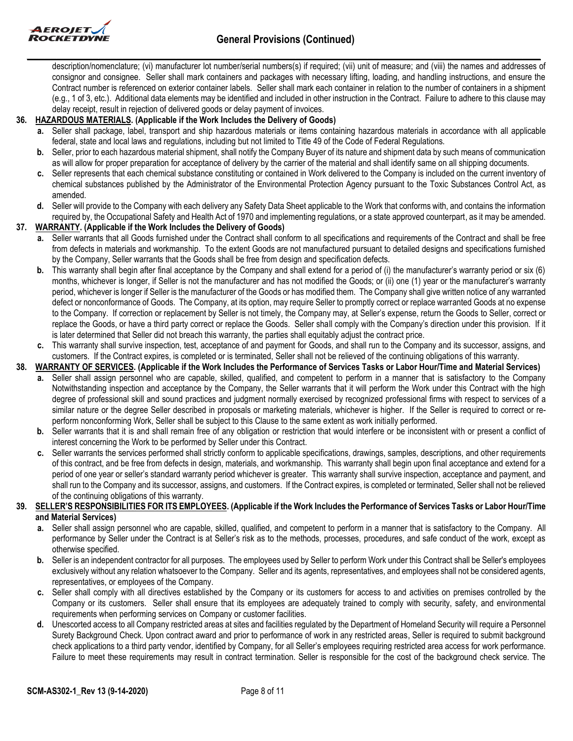

description/nomenclature; (vi) manufacturer lot number/serial numbers(s) if required; (vii) unit of measure; and (viii) the names and addresses of consignor and consignee. Seller shall mark containers and packages with necessary lifting, loading, and handling instructions, and ensure the Contract number is referenced on exterior container labels. Seller shall mark each container in relation to the number of containers in a shipment (e.g., 1 of 3, etc.). Additional data elements may be identified and included in other instruction in the Contract. Failure to adhere to this clause may delay receipt, result in rejection of delivered goods or delay payment of invoices.

## **36. HAZARDOUS MATERIALS. (Applicable if the Work Includes the Delivery of Goods)**

- **a.** Seller shall package, label, transport and ship hazardous materials or items containing hazardous materials in accordance with all applicable federal, state and local laws and regulations, including but not limited to Title 49 of the Code of Federal Regulations.
- **b.** Seller, prior to each hazardous material shipment, shall notify the Company Buyer of its nature and shipment data by such means of communication as will allow for proper preparation for acceptance of delivery by the carrier of the material and shall identify same on all shipping documents.
- **c.** Seller represents that each chemical substance constituting or contained in Work delivered to the Company is included on the current inventory of chemical substances published by the Administrator of the Environmental Protection Agency pursuant to the Toxic Substances Control Act, as amended.
- **d.** Seller will provide to the Company with each delivery any Safety Data Sheet applicable to the Work that conforms with, and contains the information required by, the Occupational Safety and Health Act of 1970 and implementing regulations, or a state approved counterpart, as it may be amended.

## **37. WARRANTY. (Applicable if the Work Includes the Delivery of Goods)**

- **a.** Seller warrants that all Goods furnished under the Contract shall conform to all specifications and requirements of the Contract and shall be free from defects in materials and workmanship. To the extent Goods are not manufactured pursuant to detailed designs and specifications furnished by the Company, Seller warrants that the Goods shall be free from design and specification defects.
- **b.** This warranty shall begin after final acceptance by the Company and shall extend for a period of (i) the manufacturer's warranty period or six (6) months, whichever is longer, if Seller is not the manufacturer and has not modified the Goods; or (ii) one (1) year or the manufacturer's warranty period, whichever is longer if Seller is the manufacturer of the Goods or has modified them. The Company shall give written notice of any warranted defect or nonconformance of Goods. The Company, at its option, may require Seller to promptly correct or replace warranted Goods at no expense to the Company. If correction or replacement by Seller is not timely, the Company may, at Seller's expense, return the Goods to Seller, correct or replace the Goods, or have a third party correct or replace the Goods. Seller shall comply with the Company's direction under this provision. If it is later determined that Seller did not breach this warranty, the parties shall equitably adjust the contract price.
- **c.** This warranty shall survive inspection, test, acceptance of and payment for Goods, and shall run to the Company and its successor, assigns, and customers. If the Contract expires, is completed or is terminated, Seller shall not be relieved of the continuing obligations of this warranty.

## **38. WARRANTY OF SERVICES. (Applicable if the Work Includes the Performance of Services Tasks or Labor Hour/Time and Material Services)**

- **a.** Seller shall assign personnel who are capable, skilled, qualified, and competent to perform in a manner that is satisfactory to the Company Notwithstanding inspection and acceptance by the Company, the Seller warrants that it will perform the Work under this Contract with the high degree of professional skill and sound practices and judgment normally exercised by recognized professional firms with respect to services of a similar nature or the degree Seller described in proposals or marketing materials, whichever is higher. If the Seller is required to correct or reperform nonconforming Work, Seller shall be subject to this Clause to the same extent as work initially performed.
- **b.** Seller warrants that it is and shall remain free of any obligation or restriction that would interfere or be inconsistent with or present a conflict of interest concerning the Work to be performed by Seller under this Contract.
- **c.** Seller warrants the services performed shall strictly conform to applicable specifications, drawings, samples, descriptions, and other requirements of this contract, and be free from defects in design, materials, and workmanship. This warranty shall begin upon final acceptance and extend for a period of one year or seller's standard warranty period whichever is greater. This warranty shall survive inspection, acceptance and payment, and shall run to the Company and its successor, assigns, and customers. If the Contract expires, is completed or terminated, Seller shall not be relieved of the continuing obligations of this warranty.

#### **39. SELLER'S RESPONSIBILITIES FOR ITS EMPLOYEES. (Applicable if the Work Includes the Performance of Services Tasks or Labor Hour/Time and Material Services)**

- **a.** Seller shall assign personnel who are capable, skilled, qualified, and competent to perform in a manner that is satisfactory to the Company. All performance by Seller under the Contract is at Seller's risk as to the methods, processes, procedures, and safe conduct of the work, except as otherwise specified.
- **b.** Seller is an independent contractor for all purposes. The employees used by Seller to perform Work under this Contract shall be Seller's employees exclusively without any relation whatsoever to the Company. Seller and its agents, representatives, and employees shall not be considered agents, representatives, or employees of the Company.
- **c.** Seller shall comply with all directives established by the Company or its customers for access to and activities on premises controlled by the Company or its customers. Seller shall ensure that its employees are adequately trained to comply with security, safety, and environmental requirements when performing services on Company or customer facilities.
- **d.** Unescorted access to all Company restricted areas at sites and facilities regulated by the Department of Homeland Security will require a Personnel Surety Background Check. Upon contract award and prior to performance of work in any restricted areas, Seller is required to submit background check applications to a third party vendor, identified by Company, for all Seller's employees requiring restricted area access for work performance. Failure to meet these requirements may result in contract termination. Seller is responsible for the cost of the background check service. The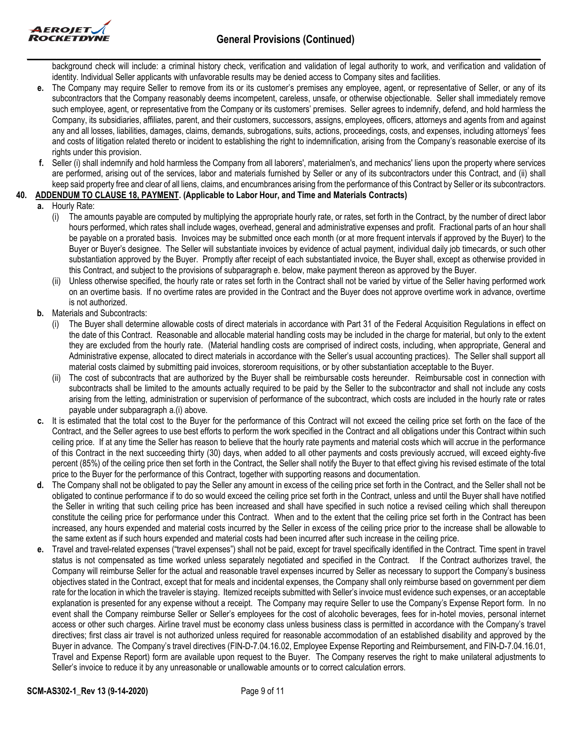

background check will include: a criminal history check, verification and validation of legal authority to work, and verification and validation of identity. Individual Seller applicants with unfavorable results may be denied access to Company sites and facilities.

- **e.** The Company may require Seller to remove from its or its customer's premises any employee, agent, or representative of Seller, or any of its subcontractors that the Company reasonably deems incompetent, careless, unsafe, or otherwise objectionable. Seller shall immediately remove such employee, agent, or representative from the Company or its customers' premises. Seller agrees to indemnify, defend, and hold harmless the Company, its subsidiaries, affiliates, parent, and their customers, successors, assigns, employees, officers, attorneys and agents from and against any and all losses, liabilities, damages, claims, demands, subrogations, suits, actions, proceedings, costs, and expenses, including attorneys' fees and costs of litigation related thereto or incident to establishing the right to indemnification, arising from the Company's reasonable exercise of its rights under this provision.
- **f.** Seller (i) shall indemnify and hold harmless the Company from all laborers', materialmen's, and mechanics' liens upon the property where services are performed, arising out of the services, labor and materials furnished by Seller or any of its subcontractors under this Contract, and (ii) shall keep said property free and clear of all liens, claims, and encumbrances arising from the performance of this Contract by Seller or its subcontractors.

### **40. ADDENDUM TO CLAUSE 18, PAYMENT. (Applicable to Labor Hour, and Time and Materials Contracts)**

- **a.** Hourly Rate:
	- (i) The amounts payable are computed by multiplying the appropriate hourly rate, or rates, set forth in the Contract, by the number of direct labor hours performed, which rates shall include wages, overhead, general and administrative expenses and profit. Fractional parts of an hour shall be payable on a prorated basis. Invoices may be submitted once each month (or at more frequent intervals if approved by the Buyer) to the Buyer or Buyer's designee. The Seller will substantiate invoices by evidence of actual payment, individual daily job timecards, or such other substantiation approved by the Buyer. Promptly after receipt of each substantiated invoice, the Buyer shall, except as otherwise provided in this Contract, and subject to the provisions of subparagraph e. below, make payment thereon as approved by the Buyer.
	- Unless otherwise specified, the hourly rate or rates set forth in the Contract shall not be varied by virtue of the Seller having performed work on an overtime basis. If no overtime rates are provided in the Contract and the Buyer does not approve overtime work in advance, overtime is not authorized.
- **b.** Materials and Subcontracts:
	- (i) The Buyer shall determine allowable costs of direct materials in accordance with Part 31 of the Federal Acquisition Regulations in effect on the date of this Contract. Reasonable and allocable material handling costs may be included in the charge for material, but only to the extent they are excluded from the hourly rate. (Material handling costs are comprised of indirect costs, including, when appropriate, General and Administrative expense, allocated to direct materials in accordance with the Seller's usual accounting practices). The Seller shall support all material costs claimed by submitting paid invoices, storeroom requisitions, or by other substantiation acceptable to the Buyer.
	- (ii) The cost of subcontracts that are authorized by the Buyer shall be reimbursable costs hereunder. Reimbursable cost in connection with subcontracts shall be limited to the amounts actually required to be paid by the Seller to the subcontractor and shall not include any costs arising from the letting, administration or supervision of performance of the subcontract, which costs are included in the hourly rate or rates payable under subparagraph a.(i) above.
- **c.** It is estimated that the total cost to the Buyer for the performance of this Contract will not exceed the ceiling price set forth on the face of the Contract, and the Seller agrees to use best efforts to perform the work specified in the Contract and all obligations under this Contract within such ceiling price. If at any time the Seller has reason to believe that the hourly rate payments and material costs which will accrue in the performance of this Contract in the next succeeding thirty (30) days, when added to all other payments and costs previously accrued, will exceed eighty-five percent (85%) of the ceiling price then set forth in the Contract, the Seller shall notify the Buyer to that effect giving his revised estimate of the total price to the Buyer for the performance of this Contract, together with supporting reasons and documentation.
- **d.** The Company shall not be obligated to pay the Seller any amount in excess of the ceiling price set forth in the Contract, and the Seller shall not be obligated to continue performance if to do so would exceed the ceiling price set forth in the Contract, unless and until the Buyer shall have notified the Seller in writing that such ceiling price has been increased and shall have specified in such notice a revised ceiling which shall thereupon constitute the ceiling price for performance under this Contract. When and to the extent that the ceiling price set forth in the Contract has been increased, any hours expended and material costs incurred by the Seller in excess of the ceiling price prior to the increase shall be allowable to the same extent as if such hours expended and material costs had been incurred after such increase in the ceiling price.
- **e.** Travel and travel-related expenses ("travel expenses") shall not be paid, except for travel specifically identified in the Contract. Time spent in travel status is not compensated as time worked unless separately negotiated and specified in the Contract. If the Contract authorizes travel, the Company will reimburse Seller for the actual and reasonable travel expenses incurred by Seller as necessary to support the Company's business objectives stated in the Contract, except that for meals and incidental expenses, the Company shall only reimburse based on government per diem rate for the location in which the traveler is staying. Itemized receipts submitted with Seller's invoice must evidence such expenses, or an acceptable explanation is presented for any expense without a receipt. The Company may require Seller to use the Company's Expense Report form. In no event shall the Company reimburse Seller or Seller's employees for the cost of alcoholic beverages, fees for in-hotel movies, personal internet access or other such charges. Airline travel must be economy class unless business class is permitted in accordance with the Company's travel directives; first class air travel is not authorized unless required for reasonable accommodation of an established disability and approved by the Buyer in advance. The Company's travel directives (FIN-D-7.04.16.02, Employee Expense Reporting and Reimbursement, and FIN-D-7.04.16.01, Travel and Expense Report) form are available upon request to the Buyer. The Company reserves the right to make unilateral adjustments to Seller's invoice to reduce it by any unreasonable or unallowable amounts or to correct calculation errors.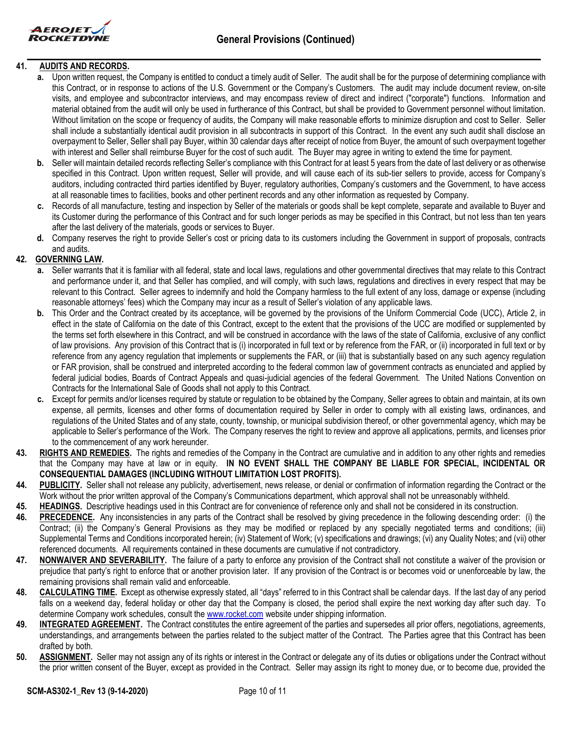

## **41. AUDITS AND RECORDS.**

- **a.** Upon written request, the Company is entitled to conduct a timely audit of Seller. The audit shall be for the purpose of determining compliance with this Contract, or in response to actions of the U.S. Government or the Company's Customers. The audit may include document review, on-site visits, and employee and subcontractor interviews, and may encompass review of direct and indirect ("corporate") functions. Information and material obtained from the audit will only be used in furtherance of this Contract, but shall be provided to Government personnel without limitation. Without limitation on the scope or frequency of audits, the Company will make reasonable efforts to minimize disruption and cost to Seller. Seller shall include a substantially identical audit provision in all subcontracts in support of this Contract. In the event any such audit shall disclose an overpayment to Seller, Seller shall pay Buyer, within 30 calendar days after receipt of notice from Buyer, the amount of such overpayment together with interest and Seller shall reimburse Buyer for the cost of such audit. The Buyer may agree in writing to extend the time for payment.
- **b.** Seller will maintain detailed records reflecting Seller's compliance with this Contract for at least 5 years from the date of last delivery or as otherwise specified in this Contract. Upon written request, Seller will provide, and will cause each of its sub-tier sellers to provide, access for Company's auditors, including contracted third parties identified by Buyer, regulatory authorities, Company's customers and the Government, to have access at all reasonable times to facilities, books and other pertinent records and any other information as requested by Company.
- **c.** Records of all manufacture, testing and inspection by Seller of the materials or goods shall be kept complete, separate and available to Buyer and its Customer during the performance of this Contract and for such longer periods as may be specified in this Contract, but not less than ten years after the last delivery of the materials, goods or services to Buyer.
- **d.** Company reserves the right to provide Seller's cost or pricing data to its customers including the Government in support of proposals, contracts and audits.

# **42. GOVERNING LAW.**

- **a.** Seller warrants that it is familiar with all federal, state and local laws, regulations and other governmental directives that may relate to this Contract and performance under it, and that Seller has complied, and will comply, with such laws, regulations and directives in every respect that may be relevant to this Contract. Seller agrees to indemnify and hold the Company harmless to the full extent of any loss, damage or expense (including reasonable attorneys' fees) which the Company may incur as a result of Seller's violation of any applicable laws.
- **b.** This Order and the Contract created by its acceptance, will be governed by the provisions of the Uniform Commercial Code (UCC), Article 2, in effect in the state of California on the date of this Contract, except to the extent that the provisions of the UCC are modified or supplemented by the terms set forth elsewhere in this Contract, and will be construed in accordance with the laws of the state of California, exclusive of any conflict of law provisions. Any provision of this Contract that is (i) incorporated in full text or by reference from the FAR, or (ii) incorporated in full text or by reference from any agency regulation that implements or supplements the FAR, or (iii) that is substantially based on any such agency regulation or FAR provision, shall be construed and interpreted according to the federal common law of government contracts as enunciated and applied by federal judicial bodies, Boards of Contract Appeals and quasi-judicial agencies of the federal Government. The United Nations Convention on Contracts for the International Sale of Goods shall not apply to this Contract.
- **c.** Except for permits and/or licenses required by statute or regulation to be obtained by the Company, Seller agrees to obtain and maintain, at its own expense, all permits, licenses and other forms of documentation required by Seller in order to comply with all existing laws, ordinances, and regulations of the United States and of any state, county, township, or municipal subdivision thereof, or other governmental agency, which may be applicable to Seller's performance of the Work. The Company reserves the right to review and approve all applications, permits, and licenses prior to the commencement of any work hereunder.
- **43. RIGHTS AND REMEDIES.** The rights and remedies of the Company in the Contract are cumulative and in addition to any other rights and remedies that the Company may have at law or in equity. **IN NO EVENT SHALL THE COMPANY BE LIABLE FOR SPECIAL, INCIDENTAL OR CONSEQUENTIAL DAMAGES (INCLUDING WITHOUT LIMITATION LOST PROFITS).**
- **44. PUBLICITY.** Seller shall not release any publicity, advertisement, news release, or denial or confirmation of information regarding the Contract or the Work without the prior written approval of the Company's Communications department, which approval shall not be unreasonably withheld.
- **45. HEADINGS.** Descriptive headings used in this Contract are for convenience of reference only and shall not be considered in its construction.
- **46. PRECEDENCE.** Any inconsistencies in any parts of the Contract shall be resolved by giving precedence in the following descending order: (i) the Contract; (ii) the Company's General Provisions as they may be modified or replaced by any specially negotiated terms and conditions; (iii) Supplemental Terms and Conditions incorporated herein; (iv) Statement of Work; (v) specifications and drawings; (vi) any Quality Notes; and (vii) other referenced documents. All requirements contained in these documents are cumulative if not contradictory.
- **47. NONWAIVER AND SEVERABILITY.** The failure of a party to enforce any provision of the Contract shall not constitute a waiver of the provision or prejudice that party's right to enforce that or another provision later. If any provision of the Contract is or becomes void or unenforceable by law, the remaining provisions shall remain valid and enforceable.
- **48. CALCULATING TIME.** Except as otherwise expressly stated, all "days" referred to in this Contract shall be calendar days. If the last day of any period falls on a weekend day, federal holiday or other day that the Company is closed, the period shall expire the next working day after such day. To determine Company work schedules, consult the [www.rocket.com](http://www.rocket.com/) website under shipping information.
- **49. INTEGRATED AGREEMENT.** The Contract constitutes the entire agreement of the parties and supersedes all prior offers, negotiations, agreements, understandings, and arrangements between the parties related to the subject matter of the Contract. The Parties agree that this Contract has been drafted by both.
- **50. ASSIGNMENT.** Seller may not assign any of its rights or interest in the Contract or delegate any of its duties or obligations under the Contract without the prior written consent of the Buyer, except as provided in the Contract. Seller may assign its right to money due, or to become due, provided the